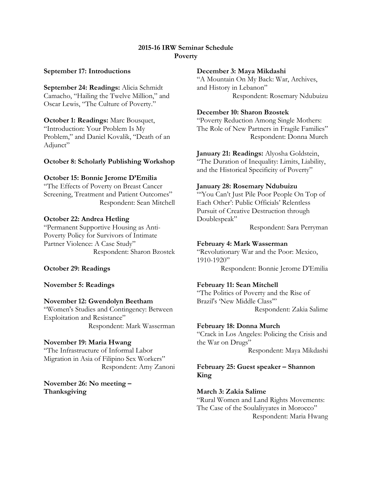# **2015-16 IRW Seminar Schedule Poverty**

#### **September 17: Introductions**

**September 24: Readings:** Alicia Schmidt Camacho, "Hailing the Twelve Million," and Oscar Lewis, "The Culture of Poverty."

# **October 1: Readings:** Marc Bousquet,

"Introduction: Your Problem Is My Problem," and Daniel Kovalik, "Death of an Adjunct"

# **October 8: Scholarly Publishing Workshop**

# **October 15: Bonnie Jerome D'Emilia**

"The Effects of Poverty on Breast Cancer Screening, Treatment and Patient Outcomes" Respondent: Sean Mitchell

#### **October 22: Andrea Hetling**

"Permanent Supportive Housing as Anti-Poverty Policy for Survivors of Intimate Partner Violence: A Case Study" Respondent: Sharon Bzostek

# **October 29: Readings**

#### **November 5: Readings**

#### **November 12: Gwendolyn Beetham**

"Women's Studies and Contingency: Between Exploitation and Resistance" Respondent: Mark Wasserman

#### **November 19: Maria Hwang**

"The Infrastructure of Informal Labor Migration in Asia of Filipino Sex Workers" Respondent: Amy Zanoni

**November 26: No meeting – Thanksgiving**

#### **December 3: Maya Mikdashi**

"A Mountain On My Back: War, Archives, and History in Lebanon" Respondent: Rosemary Ndubuizu

#### **December 10: Sharon Bzostek**

"Poverty Reduction Among Single Mothers: The Role of New Partners in Fragile Families" Respondent: Donna Murch

# **January 21: Readings:** Alyosha Goldstein,

"The Duration of Inequality: Limits, Liability, and the Historical Specificity of Poverty"

#### **January 28: Rosemary Ndubuizu**

"'You Can't Just Pile Poor People On Top of Each Other': Public Officials' Relentless Pursuit of Creative Destruction through Doublespeak"

Respondent: Sara Perryman

#### **February 4: Mark Wasserman**

"Revolutionary War and the Poor: Mexico, 1910-1920" Respondent: Bonnie Jerome D'Emilia

# **February 11: Sean Mitchell**

"The Politics of Poverty and the Rise of Brazil's 'New Middle Class'" Respondent: Zakia Salime

#### **February 18: Donna Murch**

"Crack in Los Angeles: Policing the Crisis and the War on Drugs" Respondent: Maya Mikdashi

# **February 25: Guest speaker – Shannon King**

# **March 3: Zakia Salime**

"Rural Women and Land Rights Movements: The Case of the Soulaliyyates in Morocco" Respondent: Maria Hwang